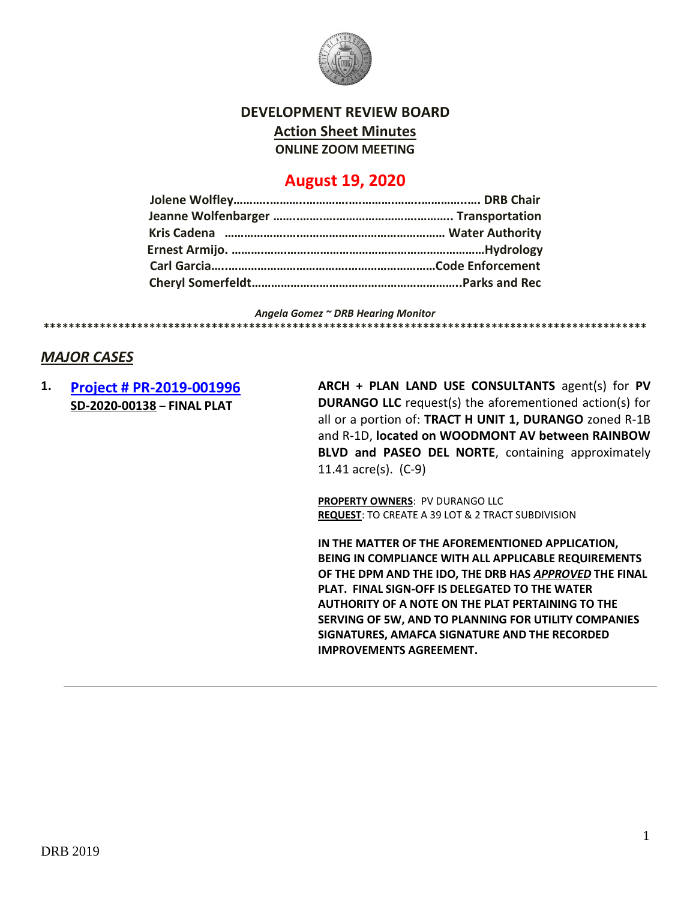

### **DEVELOPMENT REVIEW BOARD**

**Action Sheet Minutes**

**ONLINE ZOOM MEETING**

# **August 19, 2020**

*Angela Gomez ~ DRB Hearing Monitor* **\*\*\*\*\*\*\*\*\*\*\*\*\*\*\*\*\*\*\*\*\*\*\*\*\*\*\*\*\*\*\*\*\*\*\*\*\*\*\*\*\*\*\*\*\*\*\*\*\*\*\*\*\*\*\*\*\*\*\*\*\*\*\*\*\*\*\*\*\*\*\*\*\*\*\*\*\*\*\*\*\*\*\*\*\*\*\*\*\*\*\*\*\*\*\*\*\***

### *MAJOR CASES*

### **1. [Project # PR-2019-001996](http://data.cabq.gov/government/planning/DRB/PR-2019-001996/DRB%20Submittals/PR-2019-001996_Aug_19_2020/Application/PR%202018-001996%20FINAL%20PLAT.pdf) SD-2020-00138** – **FINAL PLAT**

**ARCH + PLAN LAND USE CONSULTANTS** agent(s) for **PV DURANGO LLC** request(s) the aforementioned action(s) for all or a portion of: **TRACT H UNIT 1, DURANGO** zoned R-1B and R-1D, **located on WOODMONT AV between RAINBOW BLVD and PASEO DEL NORTE**, containing approximately 11.41 acre(s). (C-9)

**PROPERTY OWNERS**: PV DURANGO LLC **REQUEST**: TO CREATE A 39 LOT & 2 TRACT SUBDIVISION

**IN THE MATTER OF THE AFOREMENTIONED APPLICATION, BEING IN COMPLIANCE WITH ALL APPLICABLE REQUIREMENTS OF THE DPM AND THE IDO, THE DRB HAS** *APPROVED* **THE FINAL PLAT. FINAL SIGN-OFF IS DELEGATED TO THE WATER AUTHORITY OF A NOTE ON THE PLAT PERTAINING TO THE SERVING OF 5W, AND TO PLANNING FOR UTILITY COMPANIES SIGNATURES, AMAFCA SIGNATURE AND THE RECORDED IMPROVEMENTS AGREEMENT.**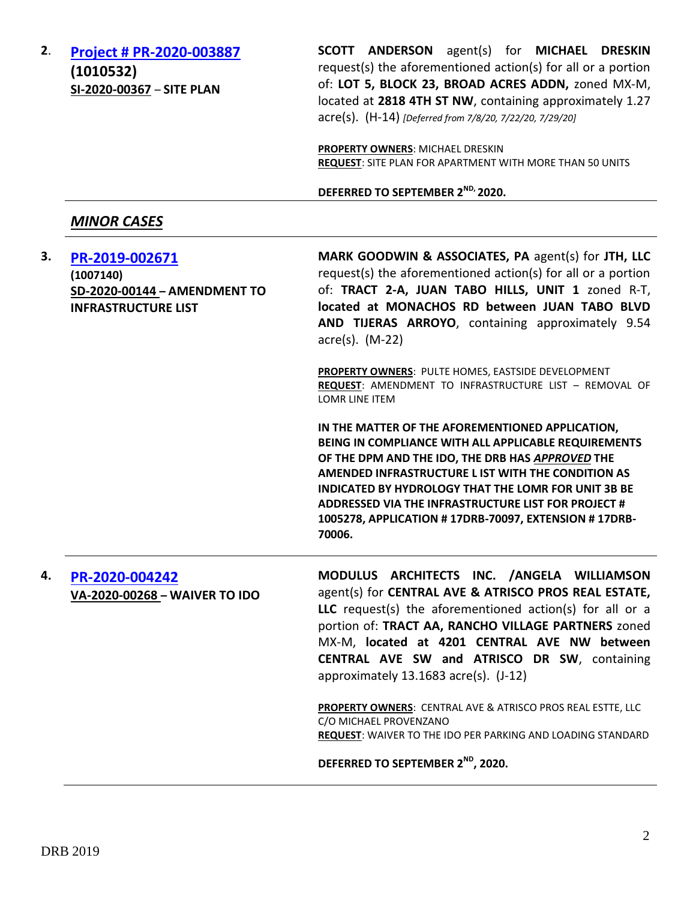**2**. **[Project # PR-2020-003887](http://data.cabq.gov/government/planning/DRB/PR-2020-003887/DRB%20Submittals/PR-2020-003887_Jul_29_2020_Supp/) (1010532) SI-2020-00367** – **SITE PLAN**

**SCOTT ANDERSON** agent(s) for **MICHAEL DRESKIN** request(s) the aforementioned action(s) for all or a portion of: **LOT 5, BLOCK 23, BROAD ACRES ADDN,** zoned MX-M, located at **2818 4TH ST NW**, containing approximately 1.27 acre(s). (H-14) *[Deferred from 7/8/20, 7/22/20, 7/29/20]*

**PROPERTY OWNERS**: MICHAEL DRESKIN **REQUEST**: SITE PLAN FOR APARTMENT WITH MORE THAN 50 UNITS

**DEFERRED TO SEPTEMBER 2 ND, 2020.**

#### *MINOR CASES*

| 3. | PR-2019-002671<br>(1007140)<br>SD-2020-00144 - AMENDMENT TO<br><b>INFRASTRUCTURE LIST</b> | MARK GOODWIN & ASSOCIATES, PA agent(s) for JTH, LLC<br>request(s) the aforementioned action(s) for all or a portion<br>of: TRACT 2-A, JUAN TABO HILLS, UNIT 1 zoned R-T,<br>located at MONACHOS RD between JUAN TABO BLVD<br>AND TIJERAS ARROYO, containing approximately 9.54<br>$\arccos(5)$ . (M-22)                                                                                                   |
|----|-------------------------------------------------------------------------------------------|-----------------------------------------------------------------------------------------------------------------------------------------------------------------------------------------------------------------------------------------------------------------------------------------------------------------------------------------------------------------------------------------------------------|
|    |                                                                                           | PROPERTY OWNERS: PULTE HOMES, EASTSIDE DEVELOPMENT<br>REQUEST: AMENDMENT TO INFRASTRUCTURE LIST - REMOVAL OF<br><b>LOMR LINE ITEM</b>                                                                                                                                                                                                                                                                     |
|    |                                                                                           | IN THE MATTER OF THE AFOREMENTIONED APPLICATION,<br>BEING IN COMPLIANCE WITH ALL APPLICABLE REQUIREMENTS<br>OF THE DPM AND THE IDO, THE DRB HAS APPROVED THE<br>AMENDED INFRASTRUCTURE L IST WITH THE CONDITION AS<br><b>INDICATED BY HYDROLOGY THAT THE LOMR FOR UNIT 3B BE</b><br>ADDRESSED VIA THE INFRASTRUCTURE LIST FOR PROJECT #<br>1005278, APPLICATION #17DRB-70097, EXTENSION #17DRB-<br>70006. |
| 4. | PR-2020-004242<br>VA-2020-00268 - WAIVER TO IDO                                           | MODULUS ARCHITECTS INC. /ANGELA WILLIAMSON<br>agent(s) for CENTRAL AVE & ATRISCO PROS REAL ESTATE,<br>LLC request(s) the aforementioned action(s) for all or a<br>portion of: TRACT AA, RANCHO VILLAGE PARTNERS zoned<br>MX-M, located at 4201 CENTRAL AVE NW between<br>CENTRAL AVE SW and ATRISCO DR SW, containing<br>approximately 13.1683 acre(s). (J-12)                                            |
|    |                                                                                           | PROPERTY OWNERS: CENTRAL AVE & ATRISCO PROS REAL ESTTE, LLC<br>C/O MICHAEL PROVENZANO<br>REQUEST: WAIVER TO THE IDO PER PARKING AND LOADING STANDARD                                                                                                                                                                                                                                                      |
|    |                                                                                           | DEFERRED TO SEPTEMBER 2 <sup>ND</sup> , 2020.                                                                                                                                                                                                                                                                                                                                                             |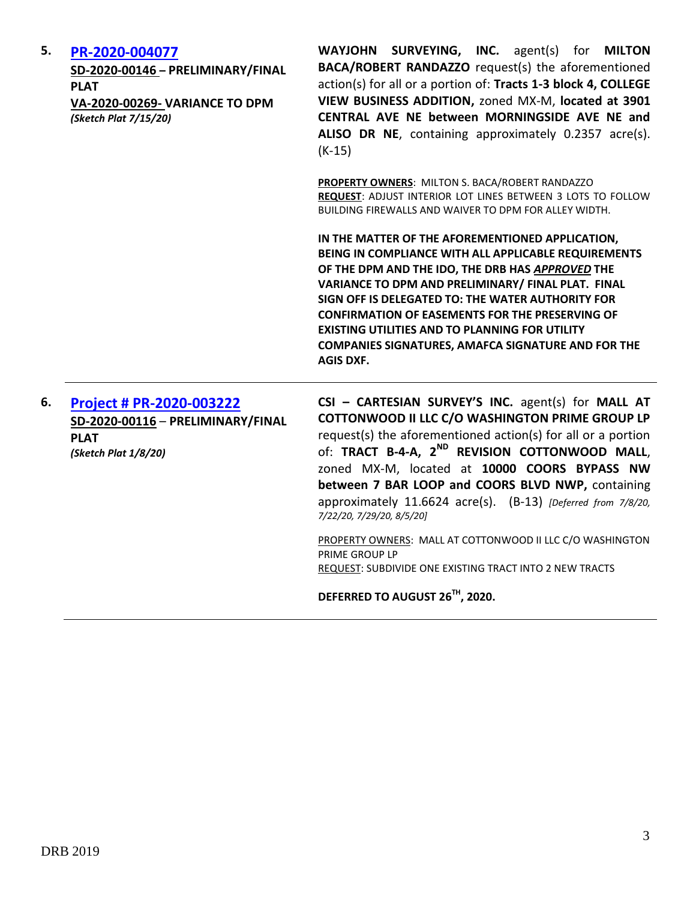| 5. | PR-2020-004077<br>SD-2020-00146 - PRELIMINARY/FINAL<br><b>PLAT</b><br><b>VA-2020-00269- VARIANCE TO DPM</b><br>(Sketch Plat 7/15/20) | <b>SURVEYING, INC.</b> agent(s) for <b>MILTON</b><br><b>WAYJOHN</b><br><b>BACA/ROBERT RANDAZZO</b> request(s) the aforementioned<br>action(s) for all or a portion of: Tracts 1-3 block 4, COLLEGE<br>VIEW BUSINESS ADDITION, zoned MX-M, located at 3901<br>CENTRAL AVE NE between MORNINGSIDE AVE NE and<br>ALISO DR NE, containing approximately 0.2357 acre(s).<br>$(K-15)$<br>PROPERTY OWNERS: MILTON S. BACA/ROBERT RANDAZZO                                                                                   |
|----|--------------------------------------------------------------------------------------------------------------------------------------|----------------------------------------------------------------------------------------------------------------------------------------------------------------------------------------------------------------------------------------------------------------------------------------------------------------------------------------------------------------------------------------------------------------------------------------------------------------------------------------------------------------------|
|    |                                                                                                                                      | REQUEST: ADJUST INTERIOR LOT LINES BETWEEN 3 LOTS TO FOLLOW<br>BUILDING FIREWALLS AND WAIVER TO DPM FOR ALLEY WIDTH.<br>IN THE MATTER OF THE AFOREMENTIONED APPLICATION,<br>BEING IN COMPLIANCE WITH ALL APPLICABLE REQUIREMENTS<br>OF THE DPM AND THE IDO, THE DRB HAS APPROVED THE                                                                                                                                                                                                                                 |
|    |                                                                                                                                      | VARIANCE TO DPM AND PRELIMINARY/ FINAL PLAT. FINAL<br>SIGN OFF IS DELEGATED TO: THE WATER AUTHORITY FOR<br><b>CONFIRMATION OF EASEMENTS FOR THE PRESERVING OF</b><br><b>EXISTING UTILITIES AND TO PLANNING FOR UTILITY</b><br><b>COMPANIES SIGNATURES, AMAFCA SIGNATURE AND FOR THE</b><br><b>AGIS DXF.</b>                                                                                                                                                                                                          |
| 6. | <b>Project # PR-2020-003222</b><br>SD-2020-00116 - PRELIMINARY/FINAL<br><b>PLAT</b><br>(Sketch Plat 1/8/20)                          | CSI - CARTESIAN SURVEY'S INC. agent(s) for MALL AT<br>COTTONWOOD II LLC C/O WASHINGTON PRIME GROUP LP<br>request(s) the aforementioned action(s) for all or a portion<br>of: TRACT B-4-A, 2 <sup>ND</sup> REVISION COTTONWOOD MALL,<br>zoned MX-M, located at 10000 COORS BYPASS NW<br>between 7 BAR LOOP and COORS BLVD NWP, containing<br>approximately 11.6624 acre(s). (B-13) [Deferred from 7/8/20,<br>7/22/20, 7/29/20, 8/5/20]<br>PROPERTY OWNERS: MALL AT COTTONWOOD II LLC C/O WASHINGTON<br>PRIME GROUP LP |

REQUEST: SUBDIVIDE ONE EXISTING TRACT INTO 2 NEW TRACTS

**DEFERRED TO AUGUST 26TH, 2020.**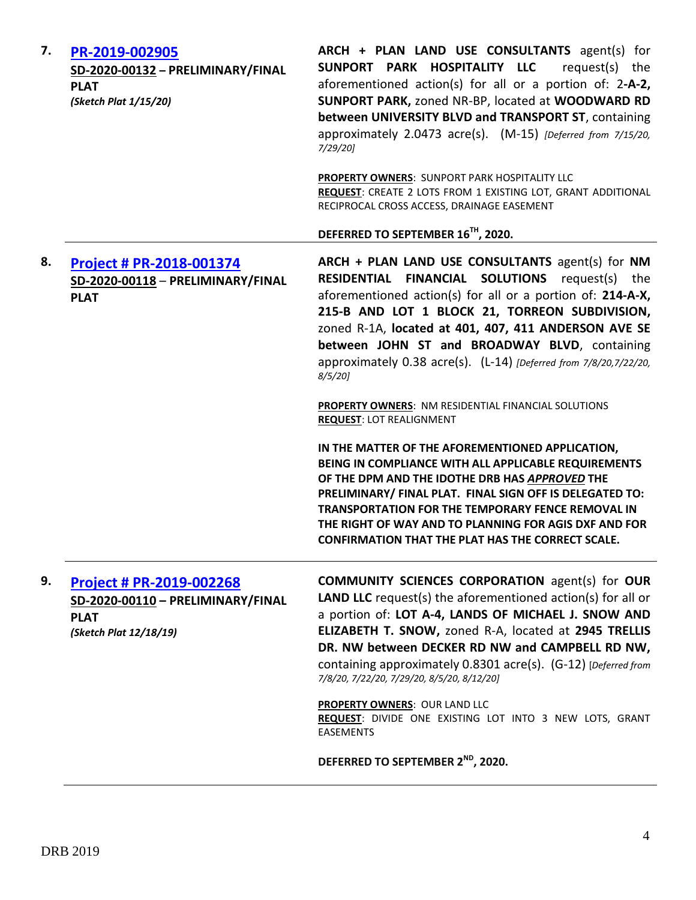| 7. | PR-2019-002905<br>SD-2020-00132 - PRELIMINARY/FINAL<br><b>PLAT</b><br>(Sketch Plat 1/15/20)                   | ARCH + PLAN LAND USE CONSULTANTS agent(s) for<br>SUNPORT PARK HOSPITALITY LLC<br>request(s) the<br>aforementioned action(s) for all or a portion of: 2-A-2,<br>SUNPORT PARK, zoned NR-BP, located at WOODWARD RD<br>between UNIVERSITY BLVD and TRANSPORT ST, containing<br>approximately 2.0473 acre(s). (M-15) [Deferred from 7/15/20,<br>$7/29/20$ ]                                                               |
|----|---------------------------------------------------------------------------------------------------------------|-----------------------------------------------------------------------------------------------------------------------------------------------------------------------------------------------------------------------------------------------------------------------------------------------------------------------------------------------------------------------------------------------------------------------|
|    |                                                                                                               | PROPERTY OWNERS: SUNPORT PARK HOSPITALITY LLC<br>REQUEST: CREATE 2 LOTS FROM 1 EXISTING LOT, GRANT ADDITIONAL<br>RECIPROCAL CROSS ACCESS, DRAINAGE EASEMENT                                                                                                                                                                                                                                                           |
|    |                                                                                                               | DEFERRED TO SEPTEMBER 16TH, 2020.                                                                                                                                                                                                                                                                                                                                                                                     |
| 8. | Project # PR-2018-001374<br>SD-2020-00118 - PRELIMINARY/FINAL<br><b>PLAT</b>                                  | ARCH + PLAN LAND USE CONSULTANTS agent(s) for NM<br><b>RESIDENTIAL FINANCIAL SOLUTIONS</b> request(s) the<br>aforementioned action(s) for all or a portion of: 214-A-X,<br>215-B AND LOT 1 BLOCK 21, TORREON SUBDIVISION,<br>zoned R-1A, located at 401, 407, 411 ANDERSON AVE SE<br>between JOHN ST and BROADWAY BLVD, containing<br>approximately 0.38 acre(s). (L-14) [Deferred from 7/8/20,7/22/20,<br>$8/5/20$ ] |
|    |                                                                                                               | <b>PROPERTY OWNERS: NM RESIDENTIAL FINANCIAL SOLUTIONS</b><br><b>REQUEST: LOT REALIGNMENT</b>                                                                                                                                                                                                                                                                                                                         |
|    |                                                                                                               | IN THE MATTER OF THE AFOREMENTIONED APPLICATION,<br>BEING IN COMPLIANCE WITH ALL APPLICABLE REQUIREMENTS<br>OF THE DPM AND THE IDOTHE DRB HAS APPROVED THE<br>PRELIMINARY/ FINAL PLAT. FINAL SIGN OFF IS DELEGATED TO:<br><b>TRANSPORTATION FOR THE TEMPORARY FENCE REMOVAL IN</b><br>THE RIGHT OF WAY AND TO PLANNING FOR AGIS DXF AND FOR<br><b>CONFIRMATION THAT THE PLAT HAS THE CORRECT SCALE.</b>               |
| 9. | <b>Project # PR-2019-002268</b><br>SD-2020-00110 - PRELIMINARY/FINAL<br><b>PLAT</b><br>(Sketch Plat 12/18/19) | <b>COMMUNITY SCIENCES CORPORATION agent(s) for OUR</b><br><b>LAND LLC</b> request(s) the aforementioned action(s) for all or<br>a portion of: LOT A-4, LANDS OF MICHAEL J. SNOW AND<br>ELIZABETH T. SNOW, zoned R-A, located at 2945 TRELLIS<br>DR. NW between DECKER RD NW and CAMPBELL RD NW,<br>containing approximately 0.8301 acre(s). (G-12) [Deferred from<br>7/8/20, 7/22/20, 7/29/20, 8/5/20, 8/12/20]       |
|    |                                                                                                               | PROPERTY OWNERS: OUR LAND LLC<br>REQUEST: DIVIDE ONE EXISTING LOT INTO 3 NEW LOTS, GRANT<br><b>EASEMENTS</b>                                                                                                                                                                                                                                                                                                          |
|    |                                                                                                               | DEFERRED TO SEPTEMBER 2 <sup>ND</sup> , 2020.                                                                                                                                                                                                                                                                                                                                                                         |